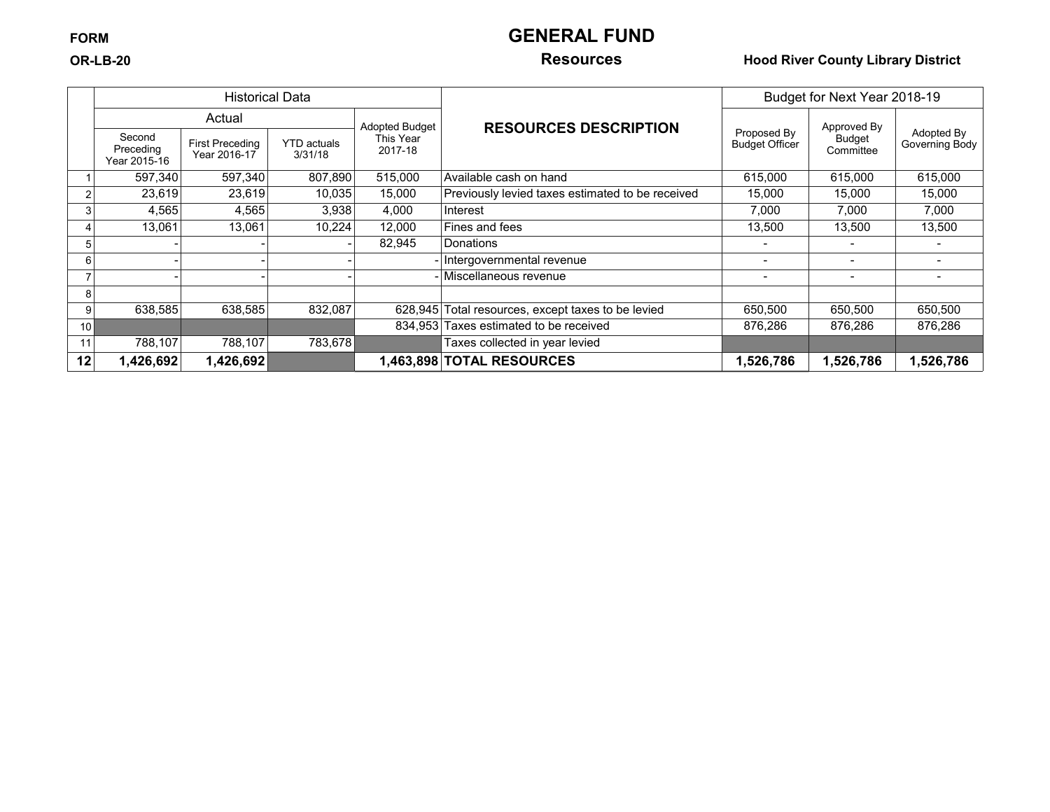# **FORM GENERAL FUND**

### **OR-LB-20 Resources Hood River County Library District**

|    |                                     | <b>Historical Data</b>          |                               |                       |                                                    | Budget for Next Year 2018-19         |                     |                              |
|----|-------------------------------------|---------------------------------|-------------------------------|-----------------------|----------------------------------------------------|--------------------------------------|---------------------|------------------------------|
|    |                                     | Actual                          |                               | <b>Adopted Budget</b> | <b>RESOURCES DESCRIPTION</b>                       |                                      | Approved By         |                              |
|    | Second<br>Preceding<br>Year 2015-16 | First Preceding<br>Year 2016-17 | <b>YTD</b> actuals<br>3/31/18 | This Year<br>2017-18  |                                                    | Proposed By<br><b>Budget Officer</b> | Budget<br>Committee | Adopted By<br>Governing Body |
|    | 597,340                             | 597,340                         | 807,890                       | 515,000               | Available cash on hand                             | 615,000                              | 615,000             | 615,000                      |
|    | 23,619                              | 23,619                          | 10,035                        | 15,000                | Previously levied taxes estimated to be received   | 15,000                               | 15.000              | 15,000                       |
|    | 4,565                               | 4,565                           | 3,938                         | 4.000                 | Interest                                           | 7,000                                | 7,000               | 7,000                        |
|    | 13,061                              | 13,061                          | 10,224                        | 12,000                | Fines and fees                                     | 13,500                               | 13,500              | 13,500                       |
|    |                                     |                                 |                               | 82,945                | Donations                                          |                                      |                     |                              |
| 6  |                                     |                                 |                               |                       | - Intergovernmental revenue                        |                                      |                     |                              |
|    |                                     |                                 |                               |                       | - Miscellaneous revenue                            |                                      |                     |                              |
| 8  |                                     |                                 |                               |                       |                                                    |                                      |                     |                              |
| 9  | 638,585                             | 638,585                         | 832,087                       |                       | 628,945 Total resources, except taxes to be levied | 650,500                              | 650,500             | 650,500                      |
| 10 |                                     |                                 |                               |                       | 834,953 Taxes estimated to be received             | 876,286                              | 876,286             | 876,286                      |
| 11 | 788,107                             | 788,107                         | 783,678                       |                       | Taxes collected in year levied                     |                                      |                     |                              |
| 12 | 1,426,692                           | 1,426,692                       |                               |                       | 1,463,898 TOTAL RESOURCES                          | 1,526,786                            | 1,526,786           | 1,526,786                    |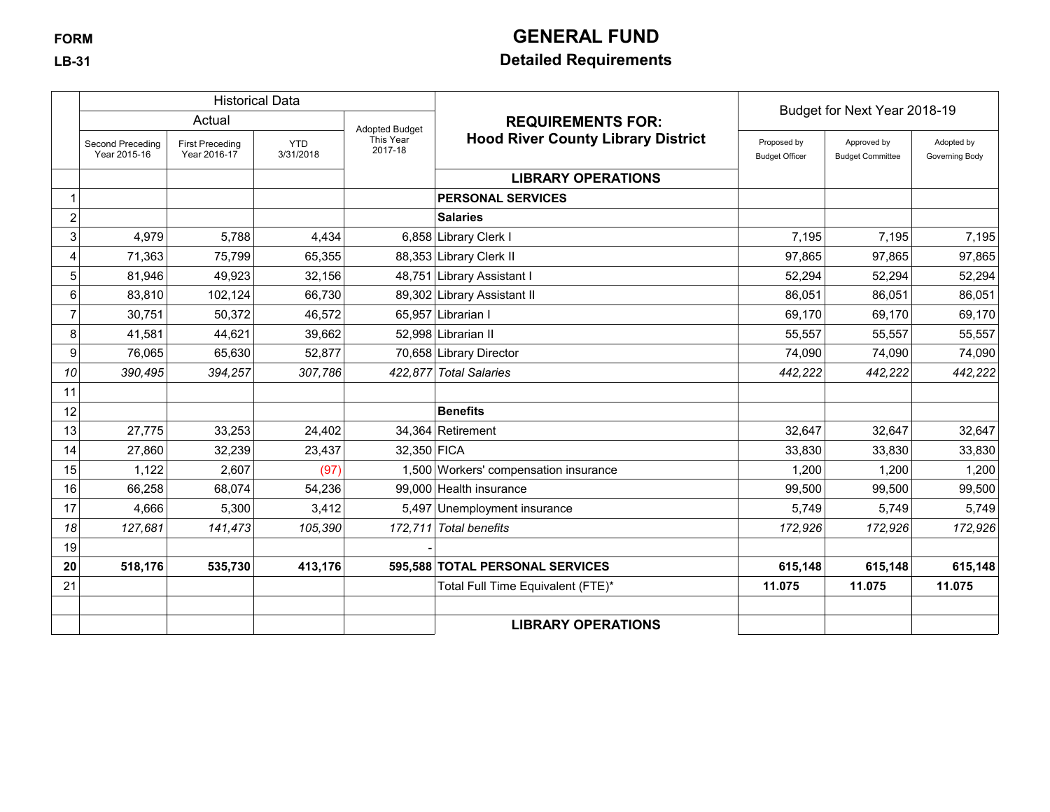# **FORM GENERAL FUND**

## **LB-31 Detailed Requirements**

|                         |                                  |                                        | <b>Historical Data</b>  |                       |                                           | Budget for Next Year 2018-19         |                                        |                              |
|-------------------------|----------------------------------|----------------------------------------|-------------------------|-----------------------|-------------------------------------------|--------------------------------------|----------------------------------------|------------------------------|
|                         |                                  | Actual                                 |                         | <b>Adopted Budget</b> | <b>REQUIREMENTS FOR:</b>                  |                                      |                                        |                              |
|                         | Second Preceding<br>Year 2015-16 | <b>First Preceding</b><br>Year 2016-17 | <b>YTD</b><br>3/31/2018 | This Year<br>2017-18  | <b>Hood River County Library District</b> | Proposed by<br><b>Budget Officer</b> | Approved by<br><b>Budget Committee</b> | Adopted by<br>Governing Body |
|                         |                                  |                                        |                         |                       | <b>LIBRARY OPERATIONS</b>                 |                                      |                                        |                              |
|                         |                                  |                                        |                         |                       | <b>PERSONAL SERVICES</b>                  |                                      |                                        |                              |
| $\overline{\mathbf{c}}$ |                                  |                                        |                         |                       | <b>Salaries</b>                           |                                      |                                        |                              |
| 3 <sup>1</sup>          | 4,979                            | 5,788                                  | 4,434                   |                       | 6,858 Library Clerk I                     | 7,195                                | 7,195                                  | 7,195                        |
| 4                       | 71,363                           | 75,799                                 | 65,355                  |                       | 88,353 Library Clerk II                   | 97,865                               | 97,865                                 | 97,865                       |
| 5 <sub>5</sub>          | 81,946                           | 49,923                                 | 32,156                  |                       | 48,751 Library Assistant I                | 52,294                               | 52,294                                 | 52,294                       |
| $6 \mid$                | 83,810                           | 102,124                                | 66,730                  |                       | 89,302 Library Assistant II               | 86,051                               | 86,051                                 | 86,051                       |
|                         | 30,751                           | 50,372                                 | 46,572                  |                       | 65,957 Librarian I                        | 69,170                               | 69,170                                 | 69,170                       |
| 8                       | 41,581                           | 44,621                                 | 39,662                  |                       | 52,998 Librarian II                       | 55,557                               | 55,557                                 | 55,557                       |
| 9                       | 76,065                           | 65,630                                 | 52,877                  |                       | 70,658 Library Director                   | 74,090                               | 74,090                                 | 74,090                       |
| 10                      | 390,495                          | 394,257                                | 307,786                 |                       | 422,877 Total Salaries                    | 442,222                              | 442,222                                | 442,222                      |
| 11                      |                                  |                                        |                         |                       |                                           |                                      |                                        |                              |
| 12                      |                                  |                                        |                         |                       | <b>Benefits</b>                           |                                      |                                        |                              |
| 13                      | 27,775                           | 33,253                                 | 24,402                  |                       | 34,364 Retirement                         | 32,647                               | 32,647                                 | 32,647                       |
| 14                      | 27,860                           | 32,239                                 | 23,437                  | 32,350 FICA           |                                           | 33,830                               | 33,830                                 | 33,830                       |
| 15                      | 1,122                            | 2,607                                  | (97)                    |                       | 1,500 Workers' compensation insurance     | 1,200                                | 1,200                                  | 1,200                        |
| 16                      | 66,258                           | 68,074                                 | 54,236                  |                       | 99,000 Health insurance                   | 99,500                               | 99,500                                 | 99,500                       |
| 17                      | 4,666                            | 5,300                                  | 3,412                   |                       | 5,497 Unemployment insurance              | 5,749                                | 5,749                                  | 5,749                        |
| 18                      | 127,681                          | 141,473                                | 105,390                 |                       | 172,711 Total benefits                    | 172,926                              | 172,926                                | 172,926                      |
| 19                      |                                  |                                        |                         |                       |                                           |                                      |                                        |                              |
| 20                      | 518,176                          | 535,730                                | 413,176                 |                       | 595,588 TOTAL PERSONAL SERVICES           | 615,148                              | 615,148                                | 615,148                      |
| 21                      |                                  |                                        |                         |                       | Total Full Time Equivalent (FTE)*         | 11.075                               | 11.075                                 | 11.075                       |
|                         |                                  |                                        |                         |                       |                                           |                                      |                                        |                              |
|                         |                                  |                                        |                         |                       | <b>LIBRARY OPERATIONS</b>                 |                                      |                                        |                              |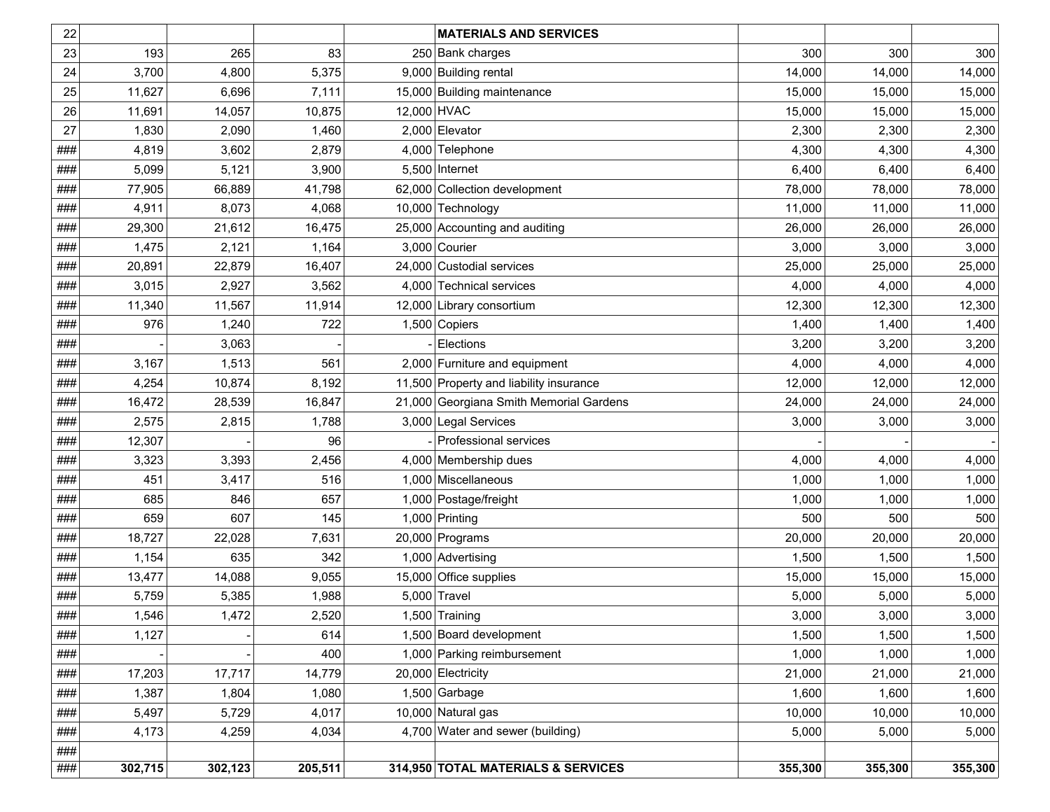| 22  |         |         |         | <b>MATERIALS AND SERVICES</b>           |         |         |         |
|-----|---------|---------|---------|-----------------------------------------|---------|---------|---------|
| 23  | 193     | 265     | 83      | 250 Bank charges                        | 300     | 300     | 300     |
| 24  | 3,700   | 4,800   | 5,375   | 9,000 Building rental                   | 14,000  | 14,000  | 14,000  |
| 25  | 11,627  | 6,696   | 7,111   | 15,000 Building maintenance             | 15,000  | 15,000  | 15,000  |
| 26  | 11,691  | 14,057  | 10,875  | 12,000 HVAC                             | 15,000  | 15,000  | 15,000  |
| 27  | 1,830   | 2,090   | 1,460   | 2,000 Elevator                          | 2,300   | 2,300   | 2,300   |
| ### | 4,819   | 3,602   | 2,879   | 4,000 Telephone                         | 4,300   | 4,300   | 4,300   |
| ### | 5,099   | 5,121   | 3,900   | $5,500$ Internet                        | 6,400   | 6,400   | 6,400   |
| ### | 77,905  | 66,889  | 41,798  | 62,000 Collection development           | 78,000  | 78,000  | 78,000  |
| ### | 4,911   | 8,073   | 4,068   | 10,000 Technology                       | 11,000  | 11,000  | 11,000  |
| ### | 29,300  | 21,612  | 16,475  | 25,000 Accounting and auditing          | 26,000  | 26,000  | 26,000  |
| ### | 1,475   | 2,121   | 1,164   | 3,000 Courier                           | 3,000   | 3,000   | 3,000   |
| ### | 20,891  | 22,879  | 16,407  | 24,000 Custodial services               | 25,000  | 25,000  | 25,000  |
| ### | 3,015   | 2,927   | 3,562   | 4,000 Technical services                | 4,000   | 4,000   | 4,000   |
| ### | 11,340  | 11,567  | 11,914  | 12,000 Library consortium               | 12,300  | 12,300  | 12,300  |
| ### | 976     | 1,240   | 722     | 1,500 Copiers                           | 1,400   | 1,400   | 1,400   |
| ### |         | 3,063   |         | Elections                               | 3,200   | 3,200   | 3,200   |
| ### | 3,167   | 1,513   | 561     | 2,000 Furniture and equipment           | 4,000   | 4,000   | 4,000   |
| ### | 4,254   | 10,874  | 8,192   | 11,500 Property and liability insurance | 12,000  | 12,000  | 12,000  |
| ### | 16,472  | 28,539  | 16,847  | 21,000 Georgiana Smith Memorial Gardens | 24,000  | 24,000  | 24,000  |
| ### | 2,575   | 2,815   | 1,788   | 3,000 Legal Services                    | 3,000   | 3,000   | 3,000   |
| ### | 12,307  |         | 96      | Professional services                   |         |         |         |
| ### | 3,323   | 3,393   | 2,456   | 4,000 Membership dues                   | 4,000   | 4,000   | 4,000   |
| ### | 451     | 3,417   | 516     | 1,000 Miscellaneous                     | 1,000   | 1,000   | 1,000   |
| ### | 685     | 846     | 657     | 1,000 Postage/freight                   | 1,000   | 1,000   | 1,000   |
| ### | 659     | 607     | 145     | 1,000 Printing                          | 500     | 500     | 500     |
| ### | 18,727  | 22,028  | 7,631   | 20,000 Programs                         | 20,000  | 20,000  | 20,000  |
| ### | 1,154   | 635     | 342     | 1,000 Advertising                       | 1,500   | 1,500   | 1,500   |
| ### | 13,477  | 14,088  | 9,055   | 15,000 Office supplies                  | 15,000  | 15,000  | 15,000  |
| ### | 5,759   | 5,385   | 1,988   | 5,000 Travel                            | 5,000   | 5,000   | 5,000   |
| ### | 1,546   | 1,472   | 2,520   | 1,500 Training                          | 3,000   | 3,000   | 3,000   |
| ### | 1,127   |         | 614     | 1,500 Board development                 | 1,500   | 1,500   | 1,500   |
| ### |         |         | 400     | 1,000 Parking reimbursement             | 1,000   | 1,000   | 1,000   |
| ### | 17,203  | 17,717  | 14,779  | 20,000 Electricity                      | 21,000  | 21,000  | 21,000  |
| ### | 1,387   | 1,804   | 1,080   | $1,500$ Garbage                         | 1,600   | 1,600   | 1,600   |
| ### | 5,497   | 5,729   | 4,017   | 10,000 Natural gas                      | 10,000  | 10,000  | 10,000  |
| ### | 4,173   | 4,259   | 4,034   | 4,700 Water and sewer (building)        | 5,000   | 5,000   | 5,000   |
| ### |         |         |         |                                         |         |         |         |
| ### | 302,715 | 302,123 | 205,511 | 314,950 TOTAL MATERIALS & SERVICES      | 355,300 | 355,300 | 355,300 |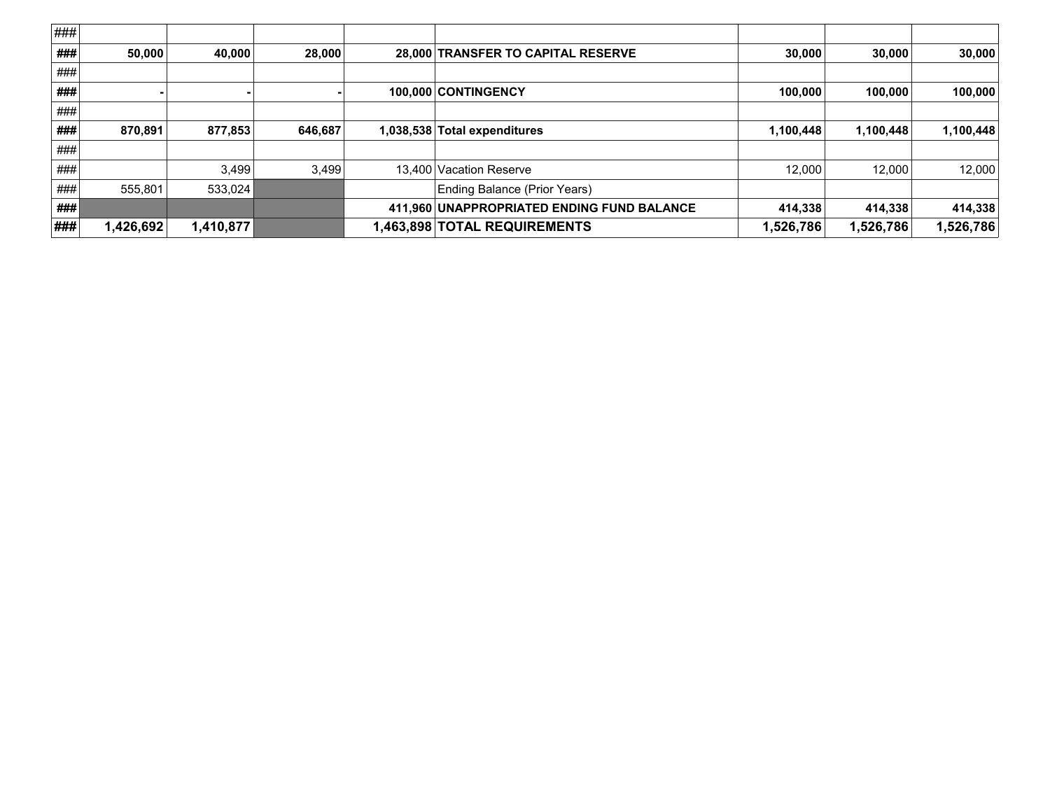| ### |          |           |         |                                            |           |           |           |
|-----|----------|-----------|---------|--------------------------------------------|-----------|-----------|-----------|
| ### | 50.000   | 40.000    | 28,000  | 28,000 TRANSFER TO CAPITAL RESERVE         | 30,000    | 30,000    | 30,000    |
| ### |          |           |         |                                            |           |           |           |
| ### |          |           |         | 100.000 CONTINGENCY                        | 100,000   | 100,000   | 100,000   |
| ### |          |           |         |                                            |           |           |           |
| ### | 870.891  | 877,853   | 646,687 | 1,038,538 Total expenditures               | 1,100,448 | 1,100,448 | 1,100,448 |
| ### |          |           |         |                                            |           |           |           |
| ### |          | 3,499     | 3,499   | 13,400 Vacation Reserve                    | 12.000    | 12,000    | 12,000    |
| ### | 555.801  | 533.024   |         | Ending Balance (Prior Years)               |           |           |           |
| ### |          |           |         | 411,960 UNAPPROPRIATED ENDING FUND BALANCE | 414,338   | 414,338   | 414,338   |
| ### | ,426,692 | 1,410,877 |         | 1,463,898 TOTAL REQUIREMENTS               | 1,526,786 | 1,526,786 | 1,526,786 |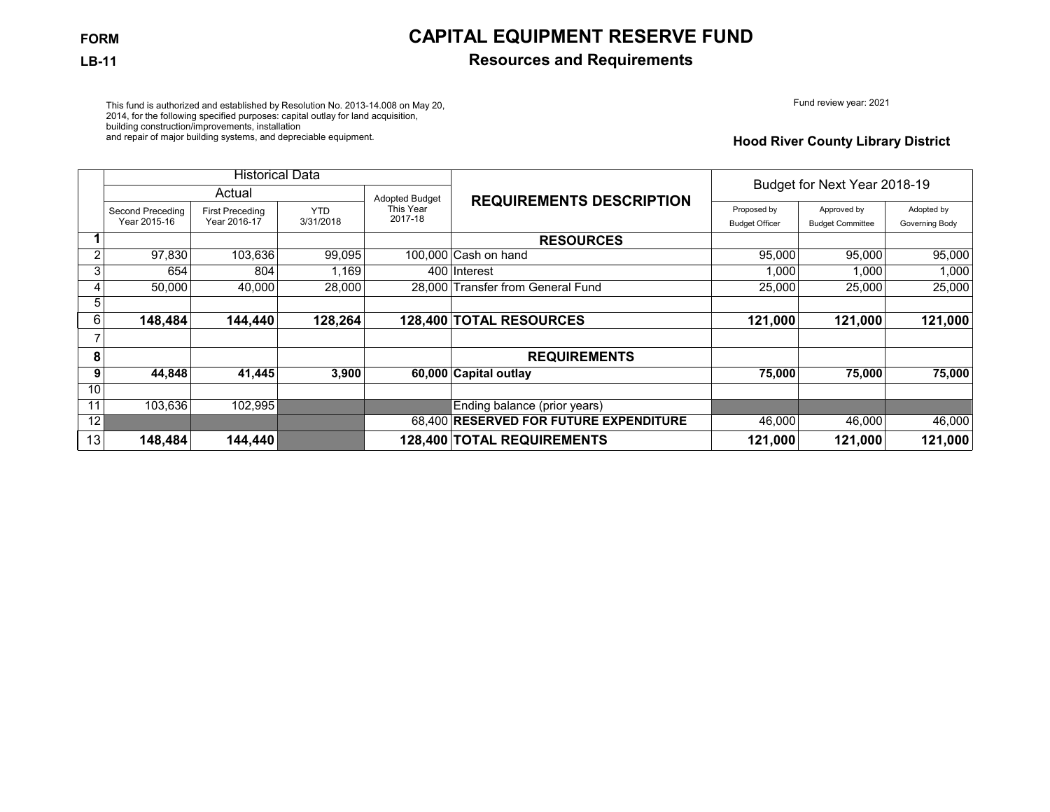## **FORM CAPITAL EQUIPMENT RESERVE FUND**

### **LB-11 Resources and Requirements**

Fund review year: 2021

This fund is authorized and established by Resolution No. 2013-14.008 on May 20, 2014, for the following specified purposes: capital outlay for land acquisition, building construction/improvements, installation and repair of major building systems, and depreciable equipment.

#### **Hood River County Library District**

|    |                                  | <b>Historical Data</b>                 |                         |                       |                                        | Budget for Next Year 2018-19         |                                        |                              |  |
|----|----------------------------------|----------------------------------------|-------------------------|-----------------------|----------------------------------------|--------------------------------------|----------------------------------------|------------------------------|--|
|    |                                  | Actual                                 |                         | <b>Adopted Budget</b> | <b>REQUIREMENTS DESCRIPTION</b>        |                                      |                                        |                              |  |
|    | Second Preceding<br>Year 2015-16 | <b>First Preceding</b><br>Year 2016-17 | <b>YTD</b><br>3/31/2018 | This Year<br>2017-18  |                                        | Proposed by<br><b>Budget Officer</b> | Approved by<br><b>Budget Committee</b> | Adopted by<br>Governing Body |  |
|    |                                  |                                        |                         |                       | <b>RESOURCES</b>                       |                                      |                                        |                              |  |
| 2  | 97,830                           | 103,636                                | 99,095                  |                       | 100,000 Cash on hand                   | 95,000                               | 95,000                                 | 95,000                       |  |
| 3  | 654                              | 804                                    | 1,169                   |                       | 400 Interest                           | 1,000                                | 1,000                                  | 1,000                        |  |
|    | 50.000                           | 40.000                                 | 28,000                  |                       | 28.000 Transfer from General Fund      | 25,000                               | 25,000                                 | 25,000                       |  |
| 5  |                                  |                                        |                         |                       |                                        |                                      |                                        |                              |  |
| 6  | 148,484                          | 144,440                                | 128,264                 |                       | 128,400 TOTAL RESOURCES                | 121,000                              | 121,000                                | 121,000                      |  |
|    |                                  |                                        |                         |                       |                                        |                                      |                                        |                              |  |
| 8  |                                  |                                        |                         |                       | <b>REQUIREMENTS</b>                    |                                      |                                        |                              |  |
| 9  | 44,848                           | 41,445                                 | 3,900                   |                       | 60,000 Capital outlay                  | 75,000                               | 75,000                                 | 75,000                       |  |
| 10 |                                  |                                        |                         |                       |                                        |                                      |                                        |                              |  |
| 11 | 103.636                          | 102,995                                |                         |                       | Ending balance (prior years)           |                                      |                                        |                              |  |
| 12 |                                  |                                        |                         |                       | 68,400 RESERVED FOR FUTURE EXPENDITURE | 46,000                               | 46,000                                 | 46,000                       |  |
| 13 | 148,484                          | 144,440                                |                         |                       | 128,400 TOTAL REQUIREMENTS             | 121,000                              | 121,000                                | 121,000                      |  |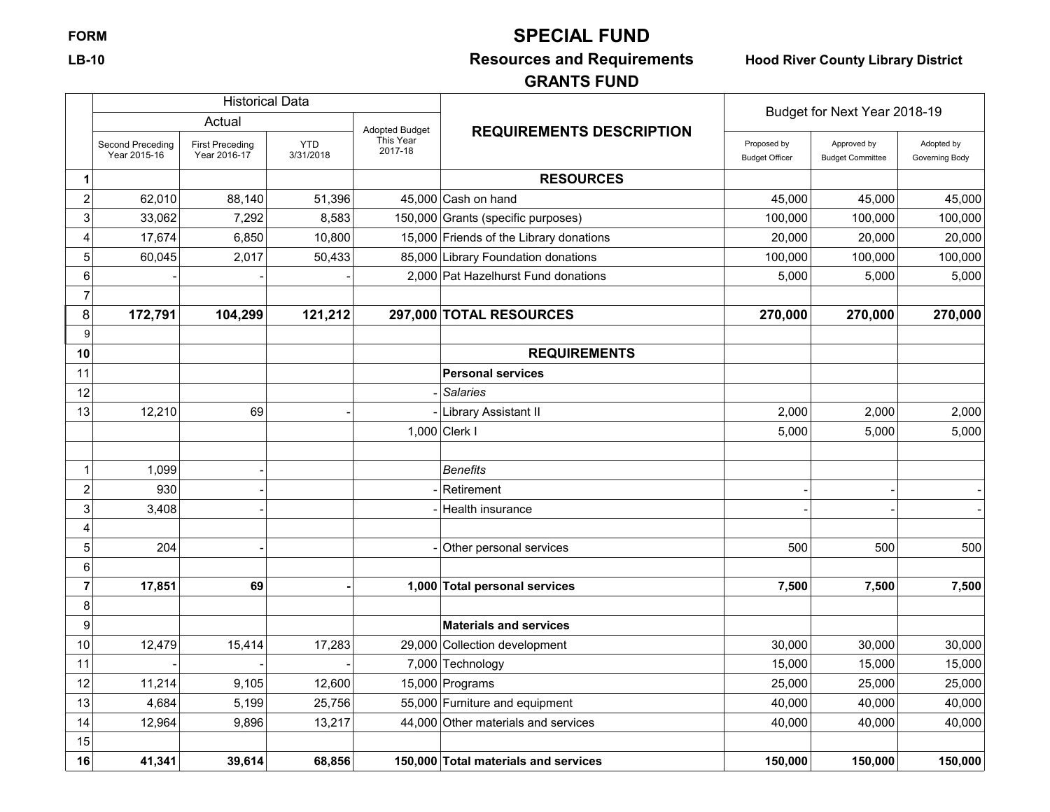## **FORM SPECIAL FUND**

# **LB-10 Resources and Requirements Hood River County Library District**

## **GRANTS FUND**

|                         |                                  | <b>Historical Data</b>                 |                         |                      |                                         | Budget for Next Year 2018-19         |                                        |                              |
|-------------------------|----------------------------------|----------------------------------------|-------------------------|----------------------|-----------------------------------------|--------------------------------------|----------------------------------------|------------------------------|
|                         |                                  | Actual                                 |                         | Adopted Budget       | <b>REQUIREMENTS DESCRIPTION</b>         |                                      |                                        |                              |
|                         | Second Preceding<br>Year 2015-16 | <b>First Preceding</b><br>Year 2016-17 | <b>YTD</b><br>3/31/2018 | This Year<br>2017-18 |                                         | Proposed by<br><b>Budget Officer</b> | Approved by<br><b>Budget Committee</b> | Adopted by<br>Governing Body |
| 1                       |                                  |                                        |                         |                      | <b>RESOURCES</b>                        |                                      |                                        |                              |
| $\overline{\mathbf{c}}$ | 62,010                           | 88,140                                 | 51,396                  |                      | $45,000$ Cash on hand                   | 45,000                               | 45,000                                 | 45,000                       |
| 3                       | 33,062                           | 7,292                                  | 8,583                   |                      | 150,000 Grants (specific purposes)      | 100,000                              | 100,000                                | 100,000                      |
| 4                       | 17,674                           | 6,850                                  | 10,800                  |                      | 15,000 Friends of the Library donations | 20,000                               | 20,000                                 | 20,000                       |
| 5                       | 60,045                           | 2,017                                  | 50,433                  |                      | 85,000 Library Foundation donations     | 100,000                              | 100,000                                | 100,000                      |
| 6                       |                                  |                                        |                         |                      | 2,000 Pat Hazelhurst Fund donations     | 5,000                                | 5,000                                  | 5,000                        |
| $\overline{7}$          |                                  |                                        |                         |                      |                                         |                                      |                                        |                              |
| 8                       | 172,791                          | 104,299                                | 121,212                 |                      | 297,000 TOTAL RESOURCES                 | 270,000                              | 270,000                                | 270,000                      |
| 9                       |                                  |                                        |                         |                      |                                         |                                      |                                        |                              |
| 10                      |                                  |                                        |                         |                      | <b>REQUIREMENTS</b>                     |                                      |                                        |                              |
| 11                      |                                  |                                        |                         |                      | <b>Personal services</b>                |                                      |                                        |                              |
| 12                      |                                  |                                        |                         |                      | <b>Salaries</b>                         |                                      |                                        |                              |
| 13                      | 12,210                           | 69                                     |                         |                      | <b>Library Assistant II</b>             | 2,000                                | 2,000                                  | 2,000                        |
|                         |                                  |                                        |                         |                      | $1,000$ Clerk I                         | 5,000                                | 5,000                                  | 5,000                        |
|                         |                                  |                                        |                         |                      |                                         |                                      |                                        |                              |
| 1                       | 1,099                            |                                        |                         |                      | <b>Benefits</b>                         |                                      |                                        |                              |
| 2                       | 930                              |                                        |                         |                      | Retirement                              |                                      |                                        |                              |
| 3                       | 3,408                            |                                        |                         |                      | Health insurance                        |                                      |                                        |                              |
| 4                       |                                  |                                        |                         |                      |                                         |                                      |                                        |                              |
| 5                       | 204                              |                                        |                         |                      | Other personal services                 | 500                                  | 500                                    | 500                          |
| 6                       |                                  |                                        |                         |                      |                                         |                                      |                                        |                              |
| 7                       | 17,851                           | 69                                     |                         |                      | 1,000 Total personal services           | 7,500                                | 7,500                                  | 7,500                        |
| 8                       |                                  |                                        |                         |                      |                                         |                                      |                                        |                              |
| 9                       |                                  |                                        |                         |                      | <b>Materials and services</b>           |                                      |                                        |                              |
| 10                      | 12,479                           | 15,414                                 | 17,283                  |                      | 29,000 Collection development           | 30,000                               | 30,000                                 | 30,000                       |
| 11                      |                                  |                                        |                         |                      | 7,000 Technology                        | 15,000                               | 15,000                                 | 15,000                       |
| 12                      | 11,214                           | 9,105                                  | 12,600                  |                      | 15,000 Programs                         | 25,000                               | 25,000                                 | 25,000                       |
| 13                      | 4,684                            | 5,199                                  | 25,756                  |                      | 55,000 Furniture and equipment          | 40,000                               | 40,000                                 | 40,000                       |
| 14                      | 12,964                           | 9,896                                  | 13,217                  |                      | 44,000 Other materials and services     | 40,000                               | 40,000                                 | 40,000                       |
| 15                      |                                  |                                        |                         |                      |                                         |                                      |                                        |                              |
| 16                      | 41,341                           | 39,614                                 | 68,856                  |                      | 150,000 Total materials and services    | 150,000                              | 150,000                                | 150,000                      |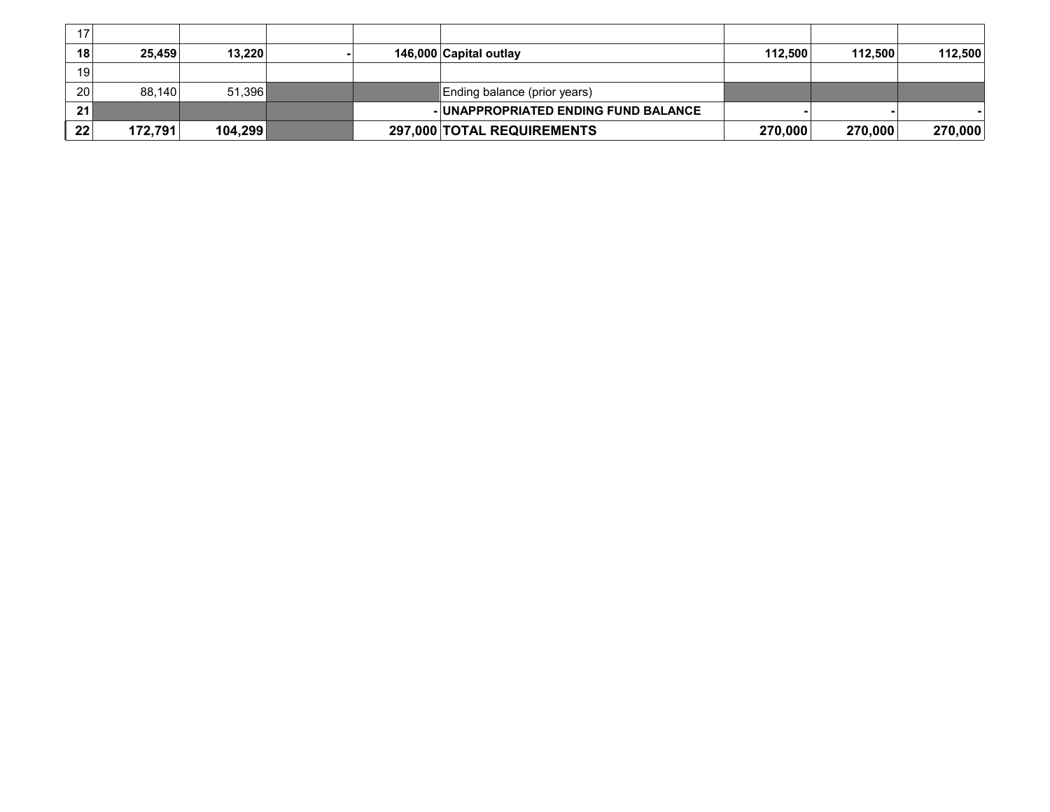| 17 |         |         |  |                                      |         |         |         |
|----|---------|---------|--|--------------------------------------|---------|---------|---------|
| 18 | 25.459  | 13,220  |  | 146,000 Capital outlay               | 112.500 | 112.500 | 112,500 |
| 19 |         |         |  |                                      |         |         |         |
| 20 | 88.140  | 51.396  |  | Ending balance (prior years)         |         |         |         |
| 21 |         |         |  | - UNAPPROPRIATED ENDING FUND BALANCE |         |         |         |
| 22 | 172,791 | 104,299 |  | 297,000 TOTAL REQUIREMENTS           | 270,000 | 270,000 | 270,000 |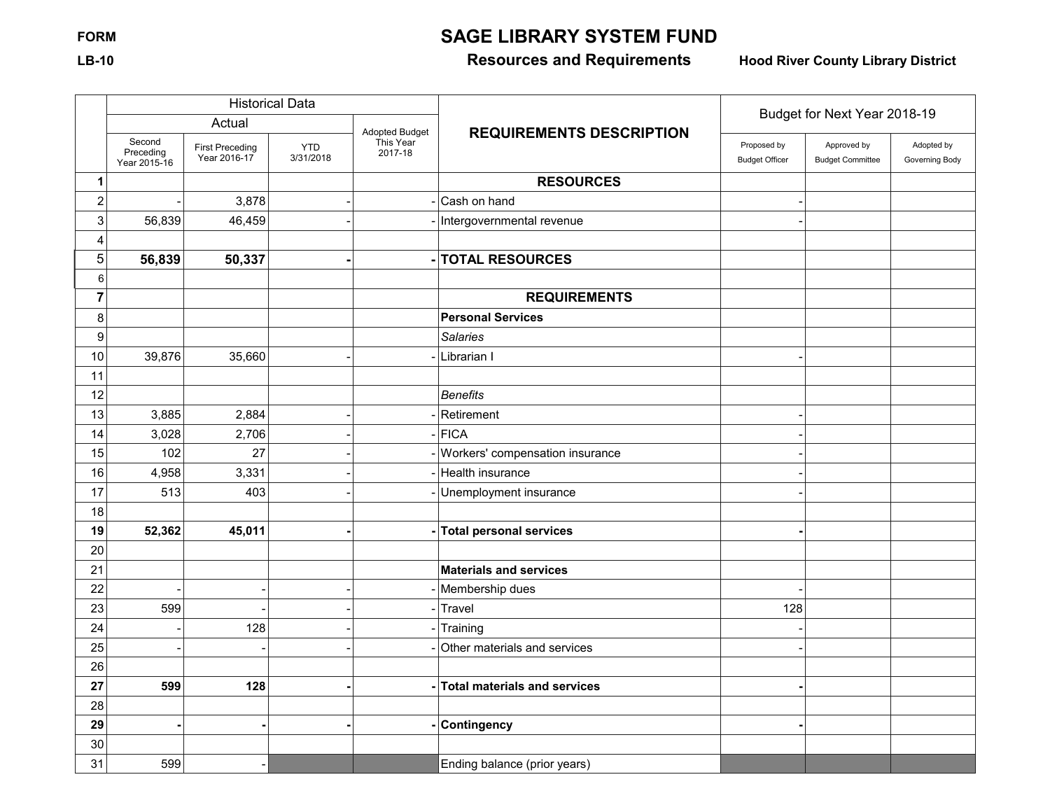# **FORM SAGE LIBRARY SYSTEM FUND**

## **LB-10 Resources and Requirements Hood River County Library District**

|                           |                                     |                                        | <b>Historical Data</b>  |                      |                                     | Budget for Next Year 2018-19         |                                        |                              |  |
|---------------------------|-------------------------------------|----------------------------------------|-------------------------|----------------------|-------------------------------------|--------------------------------------|----------------------------------------|------------------------------|--|
|                           |                                     | Actual                                 |                         | Adopted Budget       | <b>REQUIREMENTS DESCRIPTION</b>     |                                      |                                        |                              |  |
|                           | Second<br>Preceding<br>Year 2015-16 | <b>First Preceding</b><br>Year 2016-17 | <b>YTD</b><br>3/31/2018 | This Year<br>2017-18 |                                     | Proposed by<br><b>Budget Officer</b> | Approved by<br><b>Budget Committee</b> | Adopted by<br>Governing Body |  |
| $\mathbf{1}$              |                                     |                                        |                         |                      | <b>RESOURCES</b>                    |                                      |                                        |                              |  |
| $\boldsymbol{2}$          |                                     | 3,878                                  |                         |                      | Cash on hand                        |                                      |                                        |                              |  |
| $\ensuremath{\mathsf{3}}$ | 56,839                              | 46,459                                 |                         |                      | - Intergovernmental revenue         |                                      |                                        |                              |  |
| 4                         |                                     |                                        |                         |                      |                                     |                                      |                                        |                              |  |
| 5                         | 56,839                              | 50,337                                 |                         |                      | <b>TOTAL RESOURCES</b>              |                                      |                                        |                              |  |
| 6                         |                                     |                                        |                         |                      |                                     |                                      |                                        |                              |  |
| $\overline{7}$            |                                     |                                        |                         |                      | <b>REQUIREMENTS</b>                 |                                      |                                        |                              |  |
| 8                         |                                     |                                        |                         |                      | <b>Personal Services</b>            |                                      |                                        |                              |  |
| $\boldsymbol{9}$          |                                     |                                        |                         |                      | <b>Salaries</b>                     |                                      |                                        |                              |  |
| 10                        | 39,876                              | 35,660                                 |                         |                      | Librarian I                         |                                      |                                        |                              |  |
| 11                        |                                     |                                        |                         |                      |                                     |                                      |                                        |                              |  |
| 12                        |                                     |                                        |                         |                      | <b>Benefits</b>                     |                                      |                                        |                              |  |
| 13                        | 3,885                               | 2,884                                  |                         |                      | Retirement                          |                                      |                                        |                              |  |
| 14                        | 3,028                               | 2,706                                  |                         |                      | FICA                                |                                      |                                        |                              |  |
| 15                        | 102                                 | 27                                     |                         |                      | Workers' compensation insurance     |                                      |                                        |                              |  |
| 16                        | 4,958                               | 3,331                                  |                         |                      | Health insurance                    |                                      |                                        |                              |  |
| 17                        | 513                                 | 403                                    |                         |                      | Unemployment insurance              |                                      |                                        |                              |  |
| 18                        |                                     |                                        |                         |                      |                                     |                                      |                                        |                              |  |
| 19                        | 52,362                              | 45,011                                 |                         |                      | <b>Total personal services</b>      |                                      |                                        |                              |  |
| 20                        |                                     |                                        |                         |                      |                                     |                                      |                                        |                              |  |
| 21                        |                                     |                                        |                         |                      | <b>Materials and services</b>       |                                      |                                        |                              |  |
| 22                        |                                     |                                        |                         |                      | Membership dues                     |                                      |                                        |                              |  |
| 23                        | 599                                 |                                        |                         |                      | Travel                              | 128                                  |                                        |                              |  |
| 24                        |                                     | 128                                    |                         |                      | Training                            |                                      |                                        |                              |  |
| 25                        |                                     |                                        |                         |                      | Other materials and services        |                                      |                                        |                              |  |
| 26                        |                                     |                                        |                         |                      |                                     |                                      |                                        |                              |  |
| 27                        | 599                                 | 128                                    |                         |                      | <b>Total materials and services</b> |                                      |                                        |                              |  |
| 28                        |                                     |                                        |                         |                      |                                     |                                      |                                        |                              |  |
| 29                        |                                     |                                        |                         |                      | <b>Contingency</b>                  |                                      |                                        |                              |  |
| 30                        |                                     |                                        |                         |                      |                                     |                                      |                                        |                              |  |
| 31                        | 599                                 |                                        |                         |                      | Ending balance (prior years)        |                                      |                                        |                              |  |